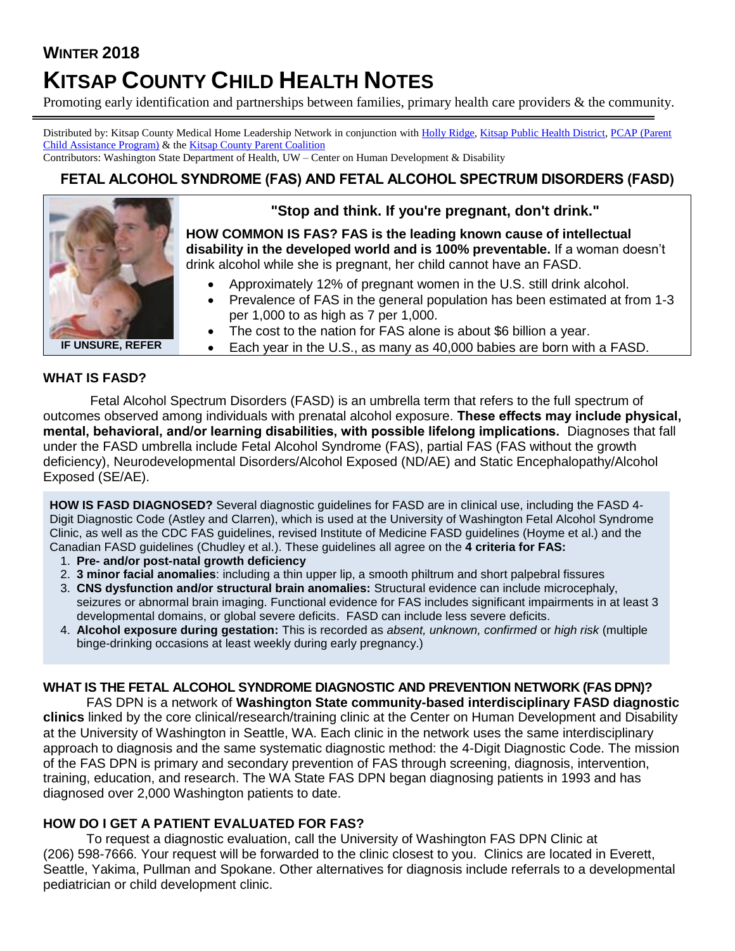# **WINTER 2018**

# **KITSAP COUNTY CHILD HEALTH NOTES**

Promoting early identification and partnerships between families, primary health care providers & the community.

Distributed by: Kitsap County Medical Home Leadership Network in conjunction wit[h Holly Ridge,](http://www.hollyridge.org/Infant-Toddler-Program/infant-toddler.htm) [Kitsap Public Health District,](http://www.kitsappublichealth.org/communityHealth/CSHCN.php) [PCAP \(Parent](http://depts.washington.edu/pcapuw/)  [Child Assistance Program\)](http://depts.washington.edu/pcapuw/) & th[e Kitsap County Parent Coalition](http://www.kitsapcountyparentcoalition.com/index.html)

Contributors: Washington State Department of Health, UW – Center on Human Development & Disability

## FETAL ALCOHOL SYNDROME (FAS) AND FETAL ALCOHOL SPECTRUM DISORDERS (FASD)



## **"Stop and think. If you're pregnant, don't drink."**

**HOW COMMON IS FAS? FAS is the leading known cause of intellectual disability in the developed world and is 100% preventable.** If a woman doesn't drink alcohol while she is pregnant, her child cannot have an FASD.

- Approximately 12% of pregnant women in the U.S. still drink alcohol.
- Prevalence of FAS in the general population has been estimated at from 1-3 per 1,000 to as high as 7 per 1,000.
- The cost to the nation for FAS alone is about \$6 billion a year.

**IF UNSURE, REFER**

• Each year in the U.S., as many as 40,000 babies are born with a FASD.

#### **WHAT IS FASD?**

Fetal Alcohol Spectrum Disorders (FASD) is an umbrella term that refers to the full spectrum of outcomes observed among individuals with prenatal alcohol exposure. These effects may include physical, mental, behavioral, and/or learning disabilities, with possible lifelong implications. Diagnoses that fall under the FASD umbrella include Fetal Alcohol Syndrome (FAS), partial FAS (FAS without the growth deficiency), Neurodevelopmental Disorders/Alcohol Exposed (ND/AE) and Static Encephalopathy/Alcohol Exposed (SE/AE).

**HOW IS FASD DIAGNOSED?** Several diagnostic guidelines for FASD are in clinical use, including the FASD 4- Digit Diagnostic Code (Astley and Clarren), which is used at the University of Washington Fetal Alcohol Syndrome Clinic, as well as the CDC FAS guidelines, revised Institute of Medicine FASD guidelines (Hoyme et al.) and the Canadian FASD guidelines (Chudley et al.). These guidelines all agree on the **4 criteria for FAS:**

- 1. **Pre- and/or post-natal growth deficiency**
- 2. **3 minor facial anomalies**: including a thin upper lip, a smooth philtrum and short palpebral fissures
- 3. **CNS dysfunction and/or structural brain anomalies:** Structural evidence can include microcephaly, seizures or abnormal brain imaging. Functional evidence for FAS includes significant impairments in at least 3 developmental domains, or global severe deficits. FASD can include less severe deficits.
- 4. **Alcohol exposure during gestation:** This is recorded as *absent, unknown, confirmed* or *high risk* (multiple binge-drinking occasions at least weekly during early pregnancy.)

### **WHAT IS THE FETAL ALCOHOL SYNDROME DIAGNOSTIC AND PREVENTION NETWORK (FAS DPN)?**

FAS DPN is a network of **Washington State community-based interdisciplinary FASD diagnostic clinics** linked by the core clinical/research/training clinic at the Center on Human Development and Disability at the University of Washington in Seattle, WA. Each clinic in the network uses the same interdisciplinary approach to diagnosis and the same systematic diagnostic method: the 4-Digit Diagnostic Code. The mission of the FAS DPN is primary and secondary prevention of FAS through screening, diagnosis, intervention, training, education, and research. The WA State FAS DPN began diagnosing patients in 1993 and has diagnosed over 2,000 Washington patients to date.

### **HOW DO I GET A PATIENT EVALUATED FOR FAS?**

To request a diagnostic evaluation, call the University of Washington FAS DPN Clinic at (206) 598-7666. Your request will be forwarded to the clinic closest to you. Clinics are located in Everett, Seattle, Yakima, Pullman and Spokane. Other alternatives for diagnosis include referrals to a developmental pediatrician or child development clinic.